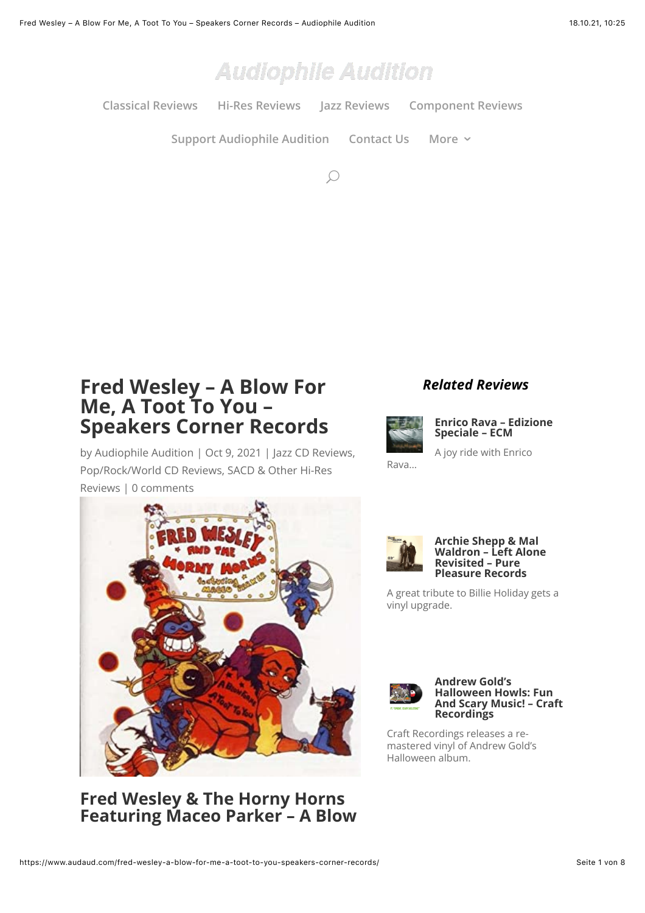

**[Classical Reviews](https://www.audaud.com/music-category/classical-cd-reviews/) [Hi-Res Reviews](https://www.audaud.com/music-category/sacd-other-hi-res-reviews/) [Jazz Reviews](https://www.audaud.com/music-category/jazz-cd-reviews/) [Component Reviews](https://www.audaud.com/music-category/component-reviews/)**

**[Support Audiophile Audition](https://www.audaud.com/support-audiophile-audition-01/) [Contact Us](https://www.audaud.com/audiophile-audition-contact-2018/) [More](https://www.audaud.com/fred-wesley-a-blow-for-me-a-toot-to-you-speakers-corner-records/#)**

 $\mathcal{Q}$ 

# **Fred Wesley – A Blow For Me, A Toot To You – Speakers Corner Records**

by [Audiophile Audition](https://www.audaud.com/author/audaudadm7in/) | Oct 9, 2021 | [Jazz CD Reviews](https://www.audaud.com/music-category/jazz-cd-reviews/), [Pop/Rock/World CD Reviews](https://www.audaud.com/music-category/poprockworld-cd-reviews/)[, SACD & Other Hi-Res](https://www.audaud.com/music-category/sacd-other-hi-res-reviews/) Reviews | [0 comments](https://www.audaud.com/fred-wesley-a-blow-for-me-a-toot-to-you-speakers-corner-records/#respond)



**Fred Wesley & The Horny Horns Featuring Maceo Parker – A Blow**

## *Related Reviews*



Rava…

**[Enrico Rava – Edizione](https://www.audaud.com/enrico-rava-edizione-speciale-ecm/) Speciale – ECM**

A joy ride with Enrico



#### **Archie Shepp & Mal [Waldron – Left Alone](https://www.audaud.com/archie-shepp-mal-waldron-left-alone-revisited-pure-pleasure-records/) Revisited – Pure Pleasure Records**

A great tribute to Billie Holiday gets a vinyl upgrade.



#### **Andrew Gold's Halloween Howls: Fun [And Scary Music! – Craft](https://www.audaud.com/andrew-golds-halloween-howls-fun-and-scary-music-craft-recording/) Recordings**

Craft Recordings releases a remastered vinyl of Andrew Gold's Halloween album.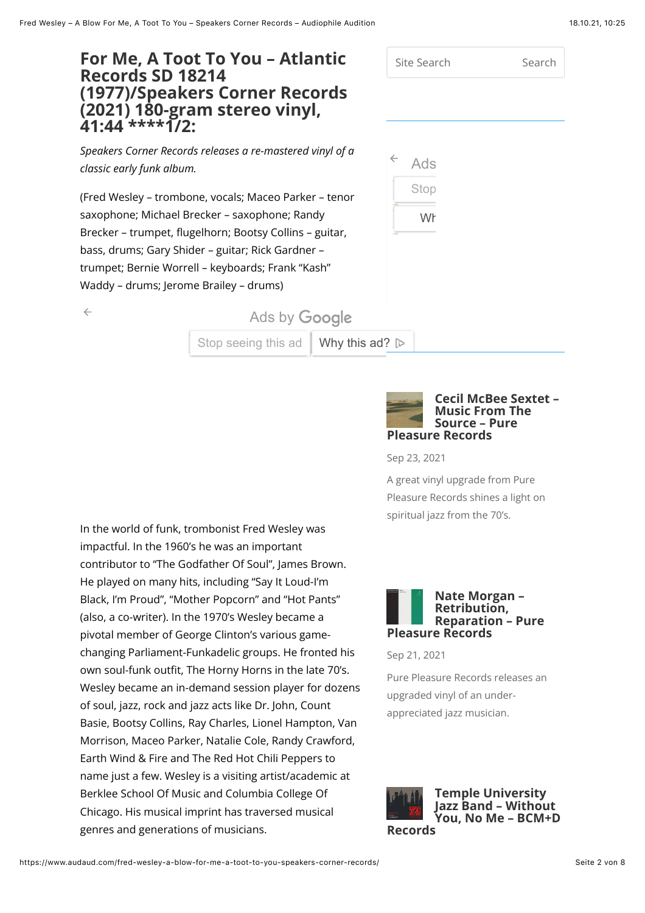# **For Me, A Toot To You – Atlantic Records SD 18214 (1977)/Speakers Corner Records (2021) 180-gram stereo vinyl, 41:44 \*\*\*\*1/2:**

Site Search Search Ads Stop Wh

*Speakers Corner Records releases a re-mastered vinyl of a classic early funk album.*

(Fred Wesley – trombone, vocals; Maceo Parker – tenor saxophone; Michael Brecker – saxophone; Randy Brecker – trumpet, flugelhorn; Bootsy Collins – guitar, bass, drums; Gary Shider – guitar; Rick Gardner – trumpet; Bernie Worrell – keyboards; Frank "Kash" Waddy – drums; Jerome Brailey – drums)

| ۰, |
|----|
|    |
| ٥  |

Ads by **Google** [Stop](https://www.googleadservices.com/pagead/aclk?sa=L&ai=CAZzCQi9tYY-tDoqX-gax2ZTgAfD72-dlzMfQ__0L84K2oKwYEAEgiL74cmCVqq-CuAegAe2DzcEDyAEJqQL2ddabsXWzPqgDAcgDywSqBPgBT9BnT4RdQEZn2QB7tredxC_h5Bj10VaC2da5UkqFKhv7vPcEQuXVzDC5IA3PVeg8PuTRLaNJeU0BEDGBS9oTrsKMf2WdZvxADTHGEAnxmg4NuS9rfsXGhbQ9MwU0Qu6kzMY8Elc20o2iCGnXdPs5hT-drxHDugvcBaIAilJ_gZcSyWByZxH_hkYAEiHLe6tJThi90M-rTOP5aEWRYE4vjhLc6xFo_L1_snXXRS2TMYVscVObBvaXM2fw7-GVucp8xco_IPUTnVQETPsnp86rfvR94cncaXHN0L9rSMi1MXnpQz1M5psQLXsOe2tmufXB3CvcRRu8VFvABPaHt_vBAvoFBgglEAEYAKAGLoAH-_uyPqgH8NkbqAfy2RuoB47OG6gHk9gbqAe6BqgH7paxAqgH_p6xAqgHpr4bqAfz0RuoB5bYG6gHqpuxAqgH35-xAtgHAMAIAdIICQiA4YAQEAEYXoAKAZALA5gLAcgLAYAMAbgMAdgTC4gUBtAVAZgWAYAXAQ&ae=1&num=1&cid=CAASFeRoqcUQ564D97rdGbAQ5uOpD7R9CA&sig=AOD64_3uc5d9f2PwGgQGv2hSmdNDc_AUIg&client=ca-pub-5519323285073240&nb=9&adurl=https://www.ebay.de/itm/363347767925%3Fnorover%3D1%26mpt%3D%5BCACHEBUSTER%5D%26siteid%3D77%26ipn%3Dadmain2%26mkevt%3D1%26mkrid%3D707-157687-884638-9%26mkcid%3D4%26placement%3D529704%26gclid%3DEAIaIQobChMIj9bxssTT8wIVioveCh2xLAUcEAEYASABEgLlUPD_BwE) [seeing this ad](https://www.googleadservices.com/pagead/aclk?sa=L&ai=CHdnqQi9tYY-tDoqX-gax2ZTgAfD72-dlzMfQ__0L84K2oKwYEAEgiL74cmCVqq-CuAegAe2DzcEDyAEJqQL2ddabsXWzPqgDAcgDywSqBPgBT9BnT4RdQEZn2QB7tredxC_h5Bj10VaC2da5UkqFKhv7vPcEQuXVzDC5IA3PVeg8PuTRLaNJeU0BEDGBS9oTrsKMf2WdZvxADTHGEAnxmg4NuS9rfsXGhbQ9MwU0Qu6kzMY8Elc20o2iCGnXdPs5hT-drxHDugvcBaIAilJ_gZcSyWByZxH_hkYAEiHLe6tJThi90M-rTOP5aEWRYE4vjhLc6xFo_L1_snXXRS2TMYVscVObBvaXM2fw7-GVucp8xco_IPUTnVQETPsnp86rfvR94cncaXHN0L9rSMi1MXnpQz1M5psQLXsOe2tmufXB3CvcRRu8VFvABPaHt_vBAvoFBgglEAEYAaAGLoAH-_uyPqgH8NkbqAfy2RuoB47OG6gHk9gbqAe6BqgH7paxAqgH_p6xAqgHpr4bqAfz0RuoB5bYG6gHqpuxAqgH35-xAtgHAMAIAtIICQiA4YAQEAEYXoAKAZALA5gLAcgLAYAMAbgMAdgTC4gUBtAVAZgWAYAXAQ&ae=1&num=1&cid=CAASFeRoqcUQ564D97rdGbAQ5uOpD7R9CA&sig=AOD64_1uTQEGHBZuA7BY4nlUkeM0PCZgog&client=ca-pub-5519323285073240&nb=9&adurl=https://www.ebay.de/itm/143535940926%3Fnorover%3D1%26mpt%3D%5BCACHEBUSTER%5D%26siteid%3D77%26ipn%3Dadmain2%26mkevt%3D1%26mkrid%3D707-157687-884638-9%26mkcid%3D4%26placement%3D529704%26gclid%3DEAIaIQobChMIj9bxssTT8wIVioveCh2xLAUcEAEYASACEgKAsvD_BwE) | [Why this ad](https://adssettings.google.com/whythisad?reasons=AB3afGEAAAZ1W1tbW251bGwsWzIxXSxudWxsLG51bGwsdHJ1ZSxudWxsLG51bGwsbnVsbCxudWxsLG51bGwsbnVsbCxudWxsLG51bGwsbnVsbCxudWxsLG51bGwsbnVsbCxudWxsLG51bGwsbnVsbCxudWxsLG51bGwsbnVsbCxudWxsLG51bGwsbnVsbCxudWxsLG51bGwsbnVsbCxudWxsLG51bGwsbnVsbCxbWyJlQmF5IE1hcmtldHBsYWNlcyBHbWJIIiwiQ0giLDEsbnVsbCwxXV1dLFtudWxsLCJodHRwczovL2dvb2dsZWFkcy5nLmRvdWJsZWNsaWNrLm5ldC9wYWdlYWQvaW50ZXJhY3Rpb24vP2FpPUNZT0cxUWk5dFlZLXREb3FYLWdheDJaVGdBZkQ3Mi1kbHpNZlFfXzBMODRLMm9Ld1lFQUVnaUw3NGNtQ1ZxcS1DdUFlZ0FlMkR6Y0VEeUFFSnFRTDJkZGFic1hXelBxZ0RBY2dEeXdTcUJQZ0JUOUJuVDRSZFFFWm4yUUI3dHJlZHhDX2g1QmoxMFZhQzJkYTVVa3FGS2h2N3ZQY0VRdVhWekRDNUlBM1BWZWc4UHVUUkxhTkplVTBCRURHQlM5b1Ryc0tNZjJXZFp2eEFEVEhHRUFueG1nNE51UzlyZnNYR2hiUTlNd1UwUXU2a3pNWThFbGMyMG8yaUNHblhkUHM1aFQtZHJ4SER1Z3ZjQmFJQWlsSl9nWmNTeVdCeVp4SF9oa1lBRWlITGU2dEpUaGk5ME0tclRPUDVhRVdSWUU0dmpoTGM2eEZvX0wxX3NuWFhSUzJUTVlWc2NWT2JCdmFYTTJmdzctR1Z1Y3A4eGNvX0lQVVRuVlFFVFBzbnA4NnJmdlI5NGNuY2FYSE4wTDlyU01pMU1YbnBRejFNNXBzUUxYc09lMnRtdWZYQjNDdmNSUnU4VkZ2QUJQYUh0X3ZCQXFBR0xvQUgtX3V5UHFnSDhOa2JxQWZ5MlJ1b0I0N09HNmdIazlnYnFBZTZCcWdIN3BheEFxZ0hfcDZ4QXFnSHByNGJxQWZ6MFJ1b0I1YllHNmdIcXB1eEFxZ0gzNS14QXRnSEFOSUlDUWlBNFlBUUVBRVlYckVKZXk4MmNNazVlZmVBQ2dHWUN3SElDd0dBREFHNERBSFlFd3VJRkFiUUZRR1lGZ0dBRndFXHUwMDI2c2lnaD0zQUtsRTZwRlhKWVx1MDAyNmNpZD1DQVFTUHdDTklyTE0tTDgwX1FjOGI1V0w0WHNpWTNjeVVDNzR1UWJxUGVYZl9FZDl1VFU1SEU5N3RBNXJ1enc2cUJMQTIydm13d0d5bTduRHAwM1JncWxWZUEiLFtudWxsLG51bGwsbnVsbCwiaHR0cHM6Ly9kaXNwbGF5YWRzLWZvcm1hdHMuZ29vZ2xldXNlcmNvbnRlbnQuY29tL2Fkcy9wcmV2aWV3L2NvbnRlbnQuanM_Y2xpZW50PXd0YVx1MDAyNm9iZnVzY2F0ZWRDdXN0b21lcklkPTQyMzkyNjM0MTlcdTAwMjZjcmVhdGl2ZUlkPTQ2NjM5ODA2MDM2MVx1MDAyNnZlcnNpb25JZD02XHUwMDI2YWRHcm91cENyZWF0aXZlSWQ9NDExNzc5MjEyMjM2XHUwMDI2aHRtbFBhcmVudElkPXByZXYtMFx1MDAyNmhlaWdodD0yODBcdTAwMjZ3aWR0aD01NzdcdTAwMjZpdGVtSWRzPTEyNTYwNTYyOTM5ODQ2ODQzODYsMTQ3NzY4Mjk3ODkwODY4MzI2ODIsMTMwNzE4NTQ0NzQ2ODEwNzMzNjQsMTA4MTQxODE1MTExMzA3MzMxMzQsMTI0Mzk5Mjc4NDU4NzI1NDQ4NTksMTIwNzQyNzUwMzk3Nzg3MTgxNjVcdTAwMjZhbGxvd2VkVmFyaWF0aW9ucz01XHUwMDI2c2lnPUFDaVZCX3pzYVBHZ0hUQWpvQ3JtOVpCbUt5NzV4VVF2SWciXSxudWxsLG51bGwsMiwidFp3cTZvd19vNE1Jek1mUV9fMExFTDZqNjdRZ0dKUG5nejhpQjJWaVlYa3VaR1V5Q0FnRkV4aTF6UU1VUWhkallTMXdkV0l0TlRVeE9UTXlNekk0TlRBM016STBNRWdGV0M1ZzdnTndBYWdCQVEiLCI4NzAwNzQ0MTI2Il1dXSxbMiwxLDEsMV1dK3lcdieKKR5y2UQ0Ve5cIKh_KT0vQ62DKduMKKu4hTFm-3IzDXOxflEDDOSrs5VqO47u3za46k8Yi_gjVbGxzhwIulPRdwejjFIhb6_iy1N7TGdOLbAVED_EBR6hiqRf_ZgUoPPZZEORy0FLTMxxtYMP9WpOViTVOvTvgRPCRX6i4k1DiWE94XtLWOVDzAxmGEigvhZtGjFAyfhGPLKc2-sMK_yTUoljWQQnU9LAgaznz57O6Mj7tKGwl4smpclItUS1j6KyBhlaS9jikaYT76ZW9eGKUMSEtyUlez6s_RNze2zjrfsdDns52cKZCcW7d3aavNsIzRYW0GuqvxXbjg,lqWzFl5dmNZ-bvhc5jpZKA&source=display)[?](https://www.googleadservices.com/pagead/aclk?sa=L&ai=CNjooQi9tYY-tDoqX-gax2ZTgAfD72-dlzMfQ__0L84K2oKwYEAEgiL74cmCVqq-CuAegAe2DzcEDyAEJqQL2ddabsXWzPqgDAcgDywSqBPgBT9BnT4RdQEZn2QB7tredxC_h5Bj10VaC2da5UkqFKhv7vPcEQuXVzDC5IA3PVeg8PuTRLaNJeU0BEDGBS9oTrsKMf2WdZvxADTHGEAnxmg4NuS9rfsXGhbQ9MwU0Qu6kzMY8Elc20o2iCGnXdPs5hT-drxHDugvcBaIAilJ_gZcSyWByZxH_hkYAEiHLe6tJThi90M-rTOP5aEWRYE4vjhLc6xFo_L1_snXXRS2TMYVscVObBvaXM2fw7-GVucp8xco_IPUTnVQETPsnp86rfvR94cncaXHN0L9rSMi1MXnpQz1M5psQLXsOe2tmufXB3CvcRRu8VFvABPaHt_vBAvoFBgglEAEYAqAGLoAH-_uyPqgH8NkbqAfy2RuoB47OG6gHk9gbqAe6BqgH7paxAqgH_p6xAqgHpr4bqAfz0RuoB5bYG6gHqpuxAqgH35-xAtgHAMAIA9IICQiA4YAQEAEYXoAKAZALA5gLAcgLAYAMAbgMAdgTC4gUBtAVAZgWAYAXAQ&ae=1&num=1&cid=CAASFeRoqcUQ564D97rdGbAQ5uOpD7R9CA&sig=AOD64_2e9clGhRqt4VbnVAVXsrw0rcGv5Q&client=ca-pub-5519323285073240&nb=9&adurl=https://www.ebay.de/itm/154318470250%3Fnorover%3D1%26mpt%3D%5BCACHEBUSTER%5D%26siteid%3D77%26ipn%3Dadmain2%26mkevt%3D1%26mkrid%3D707-157687-884638-9%26mkcid%3D4%26placement%3D529704%26gclid%3DEAIaIQobChMIj9bxssTT8wIVioveCh2xLAUcEAEYASADEgIwuvD_BwE)  $\triangleright$ 



Sep 23, 2021

[A great vinyl upgrade from Pu](https://www.googleadservices.com/pagead/aclk?sa=L&ai=CEIVpQi9tYY-tDoqX-gax2ZTgAfD72-dlzMfQ__0L84K2oKwYEAEgiL74cmCVqq-CuAegAe2DzcEDyAEJqQL2ddabsXWzPqgDAcgDywSqBPgBT9BnT4RdQEZn2QB7tredxC_h5Bj10VaC2da5UkqFKhv7vPcEQuXVzDC5IA3PVeg8PuTRLaNJeU0BEDGBS9oTrsKMf2WdZvxADTHGEAnxmg4NuS9rfsXGhbQ9MwU0Qu6kzMY8Elc20o2iCGnXdPs5hT-drxHDugvcBaIAilJ_gZcSyWByZxH_hkYAEiHLe6tJThi90M-rTOP5aEWRYE4vjhLc6xFo_L1_snXXRS2TMYVscVObBvaXM2fw7-GVucp8xco_IPUTnVQETPsnp86rfvR94cncaXHN0L9rSMi1MXnpQz1M5psQLXsOe2tmufXB3CvcRRu8VFvABPaHt_vBAvoFBgglEAEYBaAGLoAH-_uyPqgH8NkbqAfy2RuoB47OG6gHk9gbqAe6BqgH7paxAqgH_p6xAqgHpr4bqAfz0RuoB5bYG6gHqpuxAqgH35-xAtgHAMAIBtIICQiA4YAQEAEYXoAKAZALA5gLAcgLAYAMAbgMAdgTC4gUBtAVAZgWAYAXAQ&ae=1&num=1&cid=CAASFeRoqcUQ564D97rdGbAQ5uOpD7R9CA&sig=AOD64_3PgDjaYO-dwX2T6kuZRZcolSvw3Q&client=ca-pub-5519323285073240&nb=9&adurl=https://www.ebay.de/itm/294317992148%3Fvar%3D592951900355%26norover%3D1%26mpt%3D%5BCACHEBUSTER%5D%26siteid%3D77%26ipn%3Dadmain2%26mkevt%3D1%26mkrid%3D707-157687-884638-9%26mkcid%3D4%26placement%3D529704%26gclid%3DEAIaIQobChMIj9bxssTT8wIVioveCh2xLAUcEAEYASAGEgKd9vD_BwE)re Pleasure Records shines a light on spiritual jazz from the 70's.

In the world of funk, trombonist Fred Wesley was impactful. In the 1960's he was an important contributor to "The Godfather Of Soul", James Brown. He played on many hits, including "Say It Loud-I'm Black, I'm Proud", "Mother Popcorn" and "Hot Pants" (also, a co-writer). In the 1970's Wesley became a pivotal member of George Clinton's various gamechanging Parliament-Funkadelic groups. He fronted his own soul-funk outfit, The Horny Horns in the late 70's. Wesley became an in-demand session player for dozens of soul, jazz, rock and jazz acts like Dr. John, Count Basie, Bootsy Collins, Ray Charles, Lionel Hampton, Van Morrison, Maceo Parker, Natalie Cole, Randy Crawford, Earth Wind & Fire and The Red Hot Chili Peppers to name just a few. Wesley is a visiting artist/academic at Berklee School Of Music and Columbia College Of Chicago. His musical imprint has traversed musical genres and generations of musicians.



Sep 21, 2021

Pure Pleasure Records releases an upgraded vinyl of an underappreciated jazz musician.

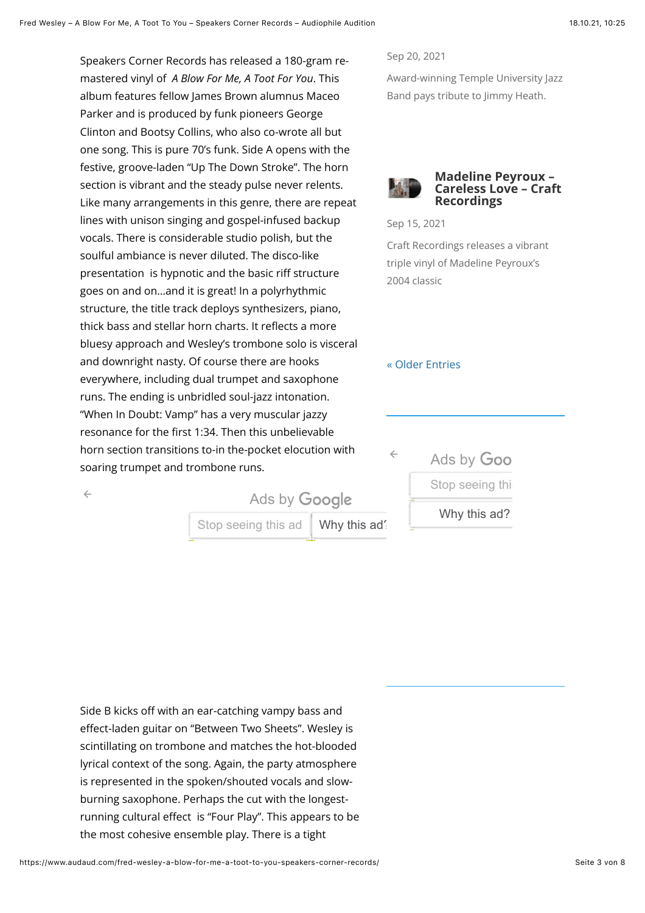Speakers Corner Records has released a 180-gram remastered vinyl of *A Blow For Me, A Toot For You*. This album features fellow James Brown alumnus Maceo Parker and is produced by funk pioneers George Clinton and Bootsy Collins, who also co-wrote all but one song. This is pure 70's funk. Side A opens with the festive, groove-laden "Up The Down Stroke". The horn section is vibrant and the steady pulse never relents. Like many arrangements in this genre, there are repeat lines with unison singing and gospel-infused backup vocals. There is considerable studio polish, but the soulful ambiance is never diluted. The disco-like presentation is hypnotic and the basic riff structure goes on and on…and it is great! In a polyrhythmic structure, the title track deploys synthesizers, piano, thick bass and stellar horn charts. It reflects a more bluesy approach and Wesley's trombone solo is visceral and downright nasty. Of course there are hooks everywhere, including dual trumpet and saxophone runs. The ending is unbridled soul-jazz intonation. "When In Doubt: Vamp" has a very muscular jazzy resonance for the first 1:34. Then this unbelievable horn section transitions to-in the-pocket elocution with soaring trumpet and trombone runs.

 $\leftarrow$ 

Sep 20, 2021

Award-winning Temple University Jazz Band pays tribute to Jimmy Heath.



Sep 15, 2021

Craft Recordings releases a vibrant triple vinyl of Madeline Peyroux's 2004 classic

### [« Older Entries](https://www.audaud.com/fred-wesley-a-blow-for-me-a-toot-to-you-speakers-corner-records/page/2/?et_blog)

[Ads by](https://www.googleadservices.com/pagead/aclk?sa=L&ai=C7CCNQS9tYd_hOsesx_APmbKukAH4w7vgZeCqpNmwDrv57JCCAhABIIi--HJglaqvgrgHoAGMoYnxAsgBCakCKB76sYL9fD6oAwHIA8sEqgT8AU_QtVz3oxaW_UHDUwEOdWZEq-ZOyNI_dCRKOKsj9d_N8hjX-vYrXg9xERicCoN-O9UtK9I0ihUbVqatjt2r2eUuFK3QSndzZMAXdHaeBtaLPFgIRWFQPBaG0eZzC7L4m_RMelHmy-W5ZAudHB2IWGih961sILg3fHC6XoBp1C8hmC-eaFeveCJdttw8KIQNBXgyeWmQwSi6DcFD1rqiBNU6DFgWywUYZ1K10W0ZY_Z3rp1b16DuzPL74vgE_83NMEc3W0niYwFAFUnznSvQF_gVMgkT-Hsh5eGl9HdUyDbDaq08_1Z2E-cnSA6sCNuJkVd-zE_qWZRep0VN6sAEkL_Vse8D-gUGCCUQARgAoAYugAerlOGlAqgH8NkbqAfy2RuoB47OG6gHk9gbqAe6BqgH7paxAqgHpr4bqAfz0RuoB5bYG6gHqpuxAqgH35-xAtgHAMAIAdIICQiA4YAQEAEYXoAKAZALA5gLAcgLAYAMAbgMAdgTDYgUAdAVAYAXAQ&ae=1&num=1&cid=CAASFeRoqCuBxasoRQqLwOFqCcFCk1-Iuw&sig=AOD64_2bfikSOIf35TzUdhb3w-PoLrY-IQ&client=ca-pub-5519323285073240&nb=9&adurl=https://www.trendyol.de/trendyol-collection/bikinihose-schwarz-klassisch-p-32012392%3FboutiqueId%3D585897%26merchantId%3D968%26gads%3Dtrue%26gads%3Dtrue%26tyutm_source%3Dgoogle%26tyutm_medium%3Dcpc%26tyutm_campaign%3Dc:de_p:prospect_x:all_t:ggl-smart-display%26gclid%3DEAIaIQobChMIn4bhssTT8wIVR9YRCB0ZmQsSEAEYASABEgLJg_D_BwE) Goo

Stop seeing this

### [Why this ad?](https://adssettings.google.com/whythisad?reasons=AB3afGEAAAV3W1tbW251bGwsWzEwXSxudWxsLG51bGwsdHJ1ZV0sW251bGwsImh0dHBzOi8vZ29vZ2xlYWRzLmcuZG91YmxlY2xpY2submV0L3BhZ2VhZC9pbnRlcmFjdGlvbi8_YWk9Q1ZPbEZRUzl0WWRfaE9zZXN4X0FQbWJLdWtBSDR3N3ZnWmVDcXBObXdEcnY1N0pDQ0FoQUJJSWktLUhKZ2xhcXZncmdIb0FHTW9ZbnhBc2dCQ2FrQ0tCNzZzWUw5ZkQ2b0F3SElBOHNFcWdUOEFVX1F0Vnozb3hhV19VSERVd0VPZFdaRXEtWk95TklfZENSS09Lc2o5ZF9OOGhqWC12WXJYZzl4RVJpY0NvTi1POVV0SzlJMGloVWJWcWF0anQycjJlVXVGSzNRU25kelpNQVhkSGFlQnRhTFBGZ0lSV0ZRUEJhRzBlWnpDN0w0bV9STWVsSG15LVc1WkF1ZEhCMklXR2loOTYxc0lMZzNmSEM2WG9CcDFDOGhtQy1lYUZldmVDSmR0dHc4S0lRTkJYZ3llV21Rd1NpNkRjRkQxcnFpQk5VNkRGZ1d5d1VZWjFLMTBXMFpZX1ozcnAxYjE2RHV6UEw3NHZnRV84M05NRWMzVzBuaVl3RkFGVW56blN2UUZfZ1ZNZ2tULUhzaDVlR2w5SGRVeURiRGFxMDhfMVoyRS1jblNBNnNDTnVKa1ZkLXpFX3FXWlJlcDBWTjZzQUVrTF9Wc2U4RG9BWXVnQWVybE9HbEFxZ0g4TmticUFmeTJSdW9CNDdPRzZnSGs5Z2JxQWU2QnFnSDdwYXhBcWdIcHI0YnFBZnowUnVvQjViWUc2Z0hxcHV4QXFnSDM1LXhBdGdIQU5JSUNRaUE0WUFRRUFFWVhyRUo1S2o1MG41R3IxbUFDZ0dZQ3dISUN3R0FEQUc0REFIWUV3MklGQUhRRlFHQUZ3RVx1MDAyNnNpZ2g9WklqWjJob2Q0cDRcdTAwMjZjaWQ9Q0FRU1B3Q05JckxNckkyVk5NNUZxWmRvOEJKRnZOcURIQmNlSFFfLXd5QmMtV0lXWUxJOFdHdG9iMzZYVGtqdXV3RU52bEkyZm1EbUZuV2l1dXROYnhmUTJnIixbbnVsbCxudWxsLG51bGwsImh0dHBzOi8vZGlzcGxheWFkcy1mb3JtYXRzLmdvb2dsZXVzZXJjb250ZW50LmNvbS9hZHMvcHJldmlldy9jb250ZW50LmpzP2NsaWVudD13dGFcdTAwMjZvYmZ1c2NhdGVkQ3VzdG9tZXJJZD04MjI1NDUwMzY4XHUwMDI2Y3JlYXRpdmVJZD01NDg0MjM1Nzg5MzJcdTAwMjZ2ZXJzaW9uSWQ9MVx1MDAyNmFkR3JvdXBDcmVhdGl2ZUlkPTQ5NDEwODQ4MDg2NFx1MDAyNmh0bWxQYXJlbnRJZD1wcmV2LTBcdTAwMjZoZWlnaHQ9MjUwXHUwMDI2d2lkdGg9MjUwXHUwMDI2aXRlbUlkcz00MDk1NzAwNTA5NTk1NjIyMDIsMTI3MDk4MTAxNzg1MDIyMDA0NzlcdTAwMjZhbGxvd2VkVmFyaWF0aW9ucz01XHUwMDI2c2lnPUFDaVZCX3htNG0tOU40amtlUktseVFJalF4VktNN3JCdWciXSxudWxsLG51bGwsMiwiQy0tajJ1RExscllJNEtxazJiQU9FT0NKaHRRMkdJQ25nNllDSWd0MGNtVnVaSGx2YkM1a1pUSUlDQVVUR05EU0poUkNGMk5oTFhCMVlpMDFOVEU1TXpJek1qZzFNRGN6TWpRd1NBWllMbUR1QTNBQmVnVUlCQklCSnciLCIxNDY3MTc3NDk0NCJdXV0sWzIsMSwxLDFdXZbJF-Jcb7qcRNKco7RhVdMbVTk3ftqOtffA_kj8WRQEZcbAEyf1rfrIToaUX326F_H_qiFXdktzFrgLyizdRX0ZQP5D5qQ-2vCoczOx5lBYfnourS4X_2IwZzp2_tSSXwQvgU70k7k_xhMGQ5Bt7q54EFtZFMYaxXpIG2UhYGVc0Ro7GLNqhzFqXUnSP2u0ZWsESL1YHMBXw81hbE02j3pDmiwewGMXhU2V9jz4RQP36ZNFOOmK0TxLssJPVGtPeZEjZNv4E4HNr_fzwyYRLnARcyEEdz0OEhg-f3LAsSeL7JYAuKHxb020-J9aNQYeE8gBhQgmlBMdTsKafeontfA,iD5FBr4ntdBG9vaFPN72dQ&source=display)

[Stop seeing this ad](https://www.googleadservices.com/pagead/aclk?sa=L&ai=CUTxmQi9tYYX1EMO_gQeNgK7wAZKU7-dlkIbmprYOm63z_QgQASCIvvhyYJWqr4K4B6ABzc6alSjIAQmpAvZ11puxdbM-qAMByAPLBKoEgAJP0M7WDJqfQLVeymB14sBWjKssqK69tquoPbQlngTAxUxJ2536iFfGTxUcLp5pg7t3W3Ik9gcBHU8xfiInIbvqboPqzpc8eQkA6jJi6XcpcOYNhVVaXwEsk6zXcTBZNv0IPyGeXGc6at26O21q5cNQQ_bQUEDoP6gL3VclTawt99fZUFL84TJsGspE8_Qgm1iRdl8tmqE5fUQtk3mrOlWFhzyiVCBEgzkQHl4UQJlBDVjcUa4pP5FNCIrqJGUaTA4nDe2SkJ_kmxntJlzHEU3jcCg1c1L_Bx6xvtGzdUTA6bpPZSkM0VzsAese3cUkWNMJOlm8h0t2Pzhxdf62bAI0wATn6OTI5wOgBi6AB82G6_QCqAfw2RuoB_LZG6gHjs4bqAeT2BuoB7oGqAfulrECqAfVyRuoB6a-G6gH89EbqAeW2BuoB6qbsQKoB9-fsQLYBwDSCAkIgOGAEBABGF6xCUaPALCSdjITgAoBmAsByAsBgAwBuAwB2BMN0BUBgBcB&ae=1&num=1&cid=CAASFeRoy9cnFYKr90XdZUuqNGNR8ffOsg&sig=AOD64_18WAWQ3zRWCiiM2wpSTvpurY2qHw&client=ca-pub-5519323285073240&nb=9&adurl=https://weristdabei.filmfriend.de%3Fgclid%3DEAIaIQobChMIhZ70ssTT8wIVw1_gCh0NgAseEAEYASAAEgLOqvD_BwE)  $\parallel$  Why this ad?

**Ads by Google** 

Side B kicks off with an ear-catching vampy bass and effect-laden guitar on "Between Two Sheets". Wesley is scintillating on trombone and matches the hot-blooded lyrical context of the song. Again, the party atmosphere is represented in the spoken/shouted vocals and slowburning saxophone. Perhaps the cut with the longestrunning cultural effect is "Four Play". This appears to be the most cohesive ensemble play. There is a tight